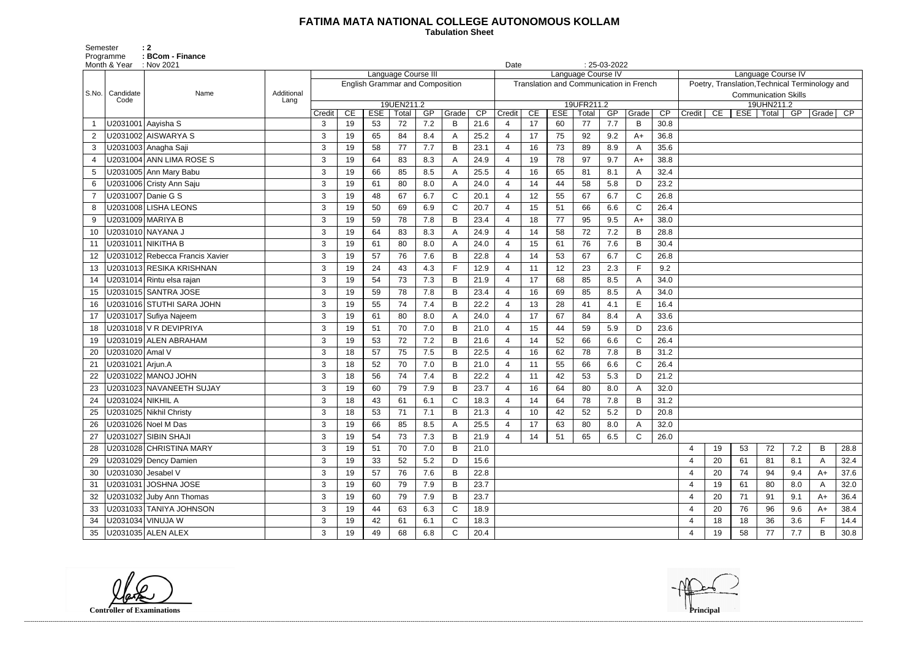## **FATIMA MATA NATIONAL COLLEGE AUTONOMOUS KOLLAM**

 **Tabulation Sheet** 

Semester : 2 Programme : **BCom - Finance** 

|        |    |     | Language Course IV          |     | Poetry, Translation, Technical Terminology and |                 |
|--------|----|-----|-----------------------------|-----|------------------------------------------------|-----------------|
|        |    |     | <b>Communication Skills</b> |     |                                                |                 |
|        |    |     | 19UHN211.2                  |     |                                                |                 |
| Credit | CE | ESE | Total                       | GP  | Grade                                          | $\overline{CP}$ |
|        |    |     |                             |     |                                                |                 |
|        |    |     |                             |     |                                                |                 |
|        |    |     |                             |     |                                                |                 |
|        |    |     |                             |     |                                                |                 |
|        |    |     |                             |     |                                                |                 |
|        |    |     |                             |     |                                                |                 |
|        |    |     |                             |     |                                                |                 |
|        |    |     |                             |     |                                                |                 |
|        |    |     |                             |     |                                                |                 |
|        |    |     |                             |     |                                                |                 |
|        |    |     |                             |     |                                                |                 |
|        |    |     |                             |     |                                                |                 |
|        |    |     |                             |     |                                                |                 |
|        |    |     |                             |     |                                                |                 |
|        |    |     |                             |     |                                                |                 |
|        |    |     |                             |     |                                                |                 |
|        |    |     |                             |     |                                                |                 |
|        |    |     |                             |     |                                                |                 |
|        |    |     |                             |     |                                                |                 |
|        |    |     |                             |     |                                                |                 |
|        |    |     |                             |     |                                                |                 |
|        |    |     |                             |     |                                                |                 |
|        |    |     |                             |     |                                                |                 |
|        |    |     |                             |     |                                                |                 |
|        |    |     |                             |     |                                                |                 |
| 4      | 19 | 53  | 72                          | 7.2 | B                                              | 28.8            |
| 4      | 20 | 61  | 81                          | 8.1 | А                                              | 32.4            |
| 4      | 20 | 74  | 94                          | 9.4 | A+                                             | 37.6            |
| 4      | 19 | 61  | 80                          | 8.0 | Α                                              | 32.0            |
| 4      | 20 | 71  | 91                          | 9.1 | $A+$                                           | 36.4            |
| 4      | 20 | 76  | 96                          | 9.6 | A+                                             | 38.4            |
| 4      | 18 | 18  | 36                          | 3.6 | F                                              | 14.4            |
| 4      | 19 | 58  | 77                          | 7.7 | В                                              | 30.8            |

|                | Month & Year : Nov 2021         |            |            |    |                                        |                     |     |              |                 | Date                  |                 |                                         |                    | $: 25-03-2022$ |             |      |                  |    |    |                                                |     |          |      |
|----------------|---------------------------------|------------|------------|----|----------------------------------------|---------------------|-----|--------------|-----------------|-----------------------|-----------------|-----------------------------------------|--------------------|----------------|-------------|------|------------------|----|----|------------------------------------------------|-----|----------|------|
|                |                                 |            |            |    |                                        | Language Course III |     |              |                 |                       |                 |                                         | Language Course IV |                |             |      |                  |    |    | Language Course IV                             |     |          |      |
| S.No.          | Candidate<br>Name               | Additional |            |    | <b>English Grammar and Composition</b> |                     |     |              |                 |                       |                 | Translation and Communication in French |                    |                |             |      |                  |    |    | Poetry, Translation, Technical Terminology and |     |          |      |
|                | Code                            | Lang       |            |    |                                        | 19UEN211.2          |     |              |                 |                       |                 |                                         | 19UFR211.2         |                |             |      |                  |    |    | <b>Communication Skills</b><br>19UHN211.2      |     |          |      |
|                |                                 |            | Credit     | CE | ESE                                    | Total               | GP  | Grade        | $\overline{CP}$ | Credit                | CE              | <b>ESE</b>                              | Total              | GP             | Grade       | CP   | Credit           | CE |    | $\overline{\text{ESE}}$   Total                | GP  | Grade CP |      |
|                | U2031001 Aayisha S              |            | 3          | 19 | 53                                     | 72                  | 7.2 | B            | 21.6            | 4                     | 17              | 60                                      | 77                 | 7.7            | B           | 30.8 |                  |    |    |                                                |     |          |      |
| $\overline{2}$ | U2031002 AISWARYA S             |            | 3          | 19 | 65                                     | 84                  | 8.4 | $\mathsf{A}$ | 25.2            | $\overline{4}$        | 17              | 75                                      | 92                 | 9.2            | $A+$        | 36.8 |                  |    |    |                                                |     |          |      |
| 3              | U2031003 Anagha Saji            |            | 3          | 19 | 58                                     | 77                  | 7.7 | B            | 23.1            | 4                     | 16              | 73                                      | 89                 | 8.9            | А           | 35.6 |                  |    |    |                                                |     |          |      |
|                | U2031004 ANN LIMA ROSE S        |            | 3          | 19 | 64                                     | 83                  | 8.3 | $\mathsf{A}$ | 24.9            | 4                     | 19              | 78                                      | 97                 | 9.7            | A+          | 38.8 |                  |    |    |                                                |     |          |      |
| 5              | U2031005 Ann Mary Babu          |            | 3          | 19 | 66                                     | 85                  | 8.5 | $\mathsf{A}$ | 25.5            | 4                     | 16              | 65                                      | 81                 | 8.1            |             | 32.4 |                  |    |    |                                                |     |          |      |
| 6              | U2031006 Cristy Ann Saju        |            | 3          | 19 | 61                                     | 80                  | 8.0 | A            | 24.0            | 4                     | 14              | 44                                      | 58                 | 5.8            | D.          | 23.2 |                  |    |    |                                                |     |          |      |
| $\overline{7}$ | U2031007 Danie G S              |            | 3          | 19 | 48                                     | 67                  | 6.7 | $\mathsf{C}$ | 20.1            | 4                     | 12 <sup>2</sup> | 55                                      | 67                 | 6.7            | C           | 26.8 |                  |    |    |                                                |     |          |      |
| 8              | U2031008 LISHA LEONS            |            | 3          | 19 | 50                                     | 69                  | 6.9 | $\mathsf{C}$ | 20.7            | 4                     | 15              | 51                                      | 66                 | 6.6            | C           | 26.4 |                  |    |    |                                                |     |          |      |
| 9              | U2031009 MARIYA B               |            | 3          | 19 | 59                                     | 78                  | 7.8 | B            | 23.4            | $\overline{4}$        | 18              | 77                                      | 95                 | 9.5            | A+          | 38.0 |                  |    |    |                                                |     |          |      |
| 10             | U2031010 NAYANA J               |            | 3          | 19 | 64                                     | 83                  | 8.3 | $\mathsf{A}$ | 24.9            | $\overline{4}$        | 14              | 58                                      | 72                 | 7.2            | B           | 28.8 |                  |    |    |                                                |     |          |      |
| 11             | U2031011   NIKITHA B            |            | 3          | 19 | 61                                     | 80                  | 8.0 | A            | 24.0            | 4                     | 15              | 61                                      | 76                 | 7.6            | B           | 30.4 |                  |    |    |                                                |     |          |      |
| 12             | U2031012 Rebecca Francis Xavier |            | 3          | 19 | 57                                     | 76                  | 7.6 | $\sf B$      | 22.8            | $\boldsymbol{\Delta}$ | 14              | 53                                      | 67                 | 6.7            | C           | 26.8 |                  |    |    |                                                |     |          |      |
| 13             | U2031013 RESIKA KRISHNAN        |            | 3          | 19 | 24                                     | 43                  | 4.3 | F            | 12.9            | 4                     | 11              | 12                                      | 23                 | 2.3            | F.          | 9.2  |                  |    |    |                                                |     |          |      |
| 14             | U2031014 Rintu elsa rajan       |            | 3          | 19 | 54                                     | 73                  | 7.3 | B            | 21.9            | 4                     | 17              | 68                                      | 85                 | 8.5            | A           | 34.0 |                  |    |    |                                                |     |          |      |
| 15             | U2031015 SANTRA JOSE            |            | 3          | 19 | 59                                     | 78                  | 7.8 | B            | 23.4            | $\overline{4}$        | 16              | 69                                      | 85                 | 8.5            | А           | 34.0 |                  |    |    |                                                |     |          |      |
| 16             | U2031016 STUTHI SARA JOHN       |            | 3          | 19 | 55                                     | 74                  | 7.4 | B            | 22.2            | 4                     | 13              | 28                                      | 41                 | 4.1            | E.          | 16.4 |                  |    |    |                                                |     |          |      |
| 17             | U2031017 Sufiya Najeem          |            | 3          | 19 | 61                                     | 80                  | 8.0 | $\mathsf{A}$ | 24.0            | $\boldsymbol{\Delta}$ | 17              | 67                                      | 84                 | 8.4            |             | 33.6 |                  |    |    |                                                |     |          |      |
| 18             | U2031018 V R DEVIPRIYA          |            | 3          | 19 | 51                                     | 70                  | 7.0 | B            | 21.0            | 4                     | 15              | 44                                      | 59                 | 5.9            | D           | 23.6 |                  |    |    |                                                |     |          |      |
| 19             | U2031019 ALEN ABRAHAM           |            | 3          | 19 | 53                                     | 72                  | 7.2 | B            | 21.6            | $\overline{4}$        | 14              | 52                                      | 66                 | 6.6            | $\mathsf C$ | 26.4 |                  |    |    |                                                |     |          |      |
| 20             | U2031020 Amal V                 |            | 3          | 18 | 57                                     | 75                  | 7.5 | B            | 22.5            | $\overline{4}$        | 16              | 62                                      | 78                 | 7.8            | B           | 31.2 |                  |    |    |                                                |     |          |      |
| 21             | U2031021   Arjun.A              |            | 3          | 18 | 52                                     | 70                  | 7.0 | B            | 21.0            | 4                     | 11              | 55                                      | 66                 | 6.6            | C           | 26.4 |                  |    |    |                                                |     |          |      |
|                | U2031022 MANOJ JOHN             |            | 3          | 18 | 56                                     | 74                  | 7.4 | B            | 22.2            | $\overline{4}$        | 11              | 42                                      | 53                 | 5.3            | D           | 21.2 |                  |    |    |                                                |     |          |      |
| 23             | U2031023 NAVANEETH SUJAY        |            | 3          | 19 | 60                                     | 79                  | 7.9 | B            | 23.7            | 4                     | 16              | 64                                      | 80                 | 8.0            | Α           | 32.0 |                  |    |    |                                                |     |          |      |
| 24             | U2031024 NIKHIL A               |            | 3          | 18 | 43                                     | 61                  | 6.1 | $\mathsf{C}$ | 18.3            | 4                     | 14              | 64                                      | 78                 | 7.8            | B           | 31.2 |                  |    |    |                                                |     |          |      |
|                | U2031025 Nikhil Christy         |            | 3          | 18 | 53                                     | 71                  | 7.1 | $\sf B$      | 21.3            | 4                     | 10              | 42                                      | 52                 | 5.2            | D           | 20.8 |                  |    |    |                                                |     |          |      |
| 26             | U2031026 Noel M Das             |            | 3          | 19 | 66                                     | 85                  | 8.5 | A            | 25.5            | 4                     | 17              | 63                                      | 80                 | 8.0            |             | 32.0 |                  |    |    |                                                |     |          |      |
| 27             | U2031027 SIBIN SHAJI            |            | 3          | 19 | 54                                     | 73                  | 7.3 | B            | 21.9            | 4                     | 14              | 51                                      | 65                 | 6.5            | C           | 26.0 |                  |    |    |                                                |     |          |      |
| 28             | U2031028 CHRISTINA MARY         |            | 3          | 19 | 51                                     | 70                  | 7.0 | B            | 21.0            |                       |                 |                                         |                    |                |             |      | $\overline{4}$   | 19 | 53 | 72                                             | 7.2 | B        | 28.8 |
| 29             | U2031029 Dency Damien           |            | 3          | 19 | 33                                     | 52                  | 5.2 | D            | 15.6            |                       |                 |                                         |                    |                |             |      | $\overline{4}$   | 20 | 61 | 81                                             | 8.1 | A        | 32.4 |
| 30             | U2031030 Jesabel V              |            | 3          | 19 | 57                                     | 76                  | 7.6 | B            | 22.8            |                       |                 |                                         |                    |                |             |      | 4                | 20 | 74 | 94                                             | 9.4 | $A+$     | 37.6 |
| 31             | U2031031 JOSHNA JOSE            |            | 3          | 19 | 60                                     | 79                  | 7.9 | B            | 23.7            |                       |                 |                                         |                    |                |             |      | 4                | 19 | 61 | 80                                             | 8.0 | A        | 32.0 |
| 32             | U2031032 Juby Ann Thomas        |            | 3          | 19 | 60                                     | 79                  | 7.9 | B            | 23.7            |                       |                 |                                         |                    |                |             |      | 4                | 20 | 71 | 91                                             | 9.1 | $A+$     | 36.4 |
| 33             | U2031033 TANIYA JOHNSON         |            | 3          | 19 | 44                                     | 63                  | 6.3 | C            | 18.9            |                       |                 |                                         |                    |                |             |      | 4                | 20 | 76 | 96                                             | 9.6 | $A+$     | 38.4 |
| 34             | U2031034 VINUJA W               |            | $\sqrt{3}$ | 19 | 42                                     | 61                  | 6.1 | $\mathsf{C}$ | 18.3            |                       |                 |                                         |                    |                |             |      | $\overline{4}$   | 18 | 18 | 36                                             | 3.6 | F        | 14.4 |
| 35             | U2031035 ALEN ALEX              |            | 3          | 19 | 49                                     | 68                  | 6.8 | $\mathsf{C}$ | 20.4            |                       |                 |                                         |                    |                |             |      | $\boldsymbol{4}$ | 19 | 58 | 77                                             | 7.7 | B        | 30.8 |

**Controller of Examinations Principal**

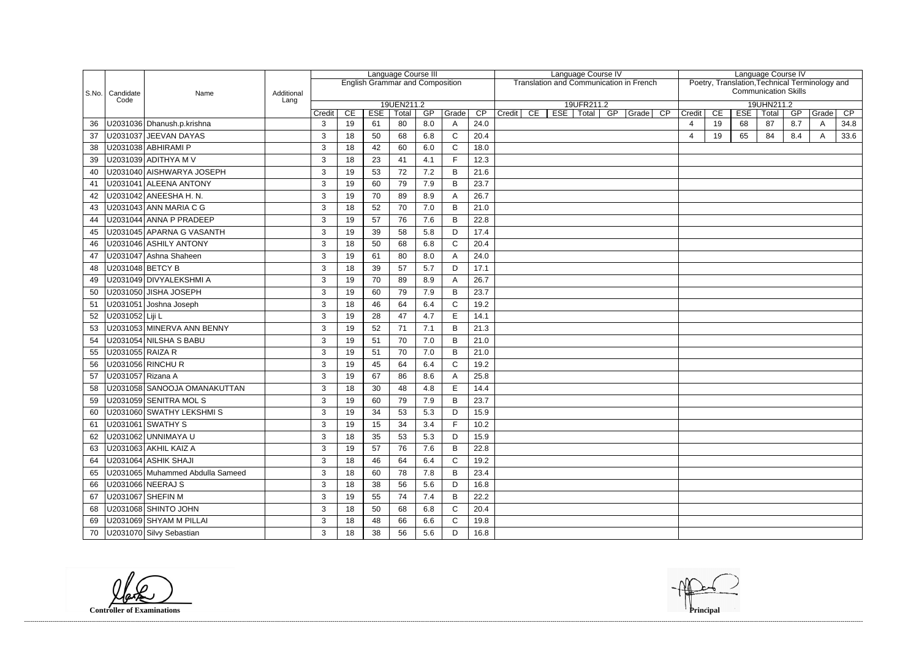|                         |    |            |                             |     | Language Course IV<br>Poetry, Translation, Technical Terminology and |      |
|-------------------------|----|------------|-----------------------------|-----|----------------------------------------------------------------------|------|
|                         |    |            | <b>Communication Skills</b> |     |                                                                      |      |
|                         |    |            | 19UHN211.2                  |     |                                                                      |      |
| Credit                  | CE | <b>ESE</b> | Total                       | GP  | Grade                                                                | CP   |
| $\overline{\mathbf{4}}$ | 19 | 68         | 87                          | 8.7 | A                                                                    | 34.8 |
| 4                       | 19 | 65         | 84                          | 8.4 | A                                                                    | 33.6 |
|                         |    |            |                             |     |                                                                      |      |
|                         |    |            |                             |     |                                                                      |      |
|                         |    |            |                             |     |                                                                      |      |
|                         |    |            |                             |     |                                                                      |      |
|                         |    |            |                             |     |                                                                      |      |
|                         |    |            |                             |     |                                                                      |      |
|                         |    |            |                             |     |                                                                      |      |
|                         |    |            |                             |     |                                                                      |      |
|                         |    |            |                             |     |                                                                      |      |
|                         |    |            |                             |     |                                                                      |      |
|                         |    |            |                             |     |                                                                      |      |
|                         |    |            |                             |     |                                                                      |      |
|                         |    |            |                             |     |                                                                      |      |
|                         |    |            |                             |     |                                                                      |      |
|                         |    |            |                             |     |                                                                      |      |
|                         |    |            |                             |     |                                                                      |      |
|                         |    |            |                             |     |                                                                      |      |
|                         |    |            |                             |     |                                                                      |      |
|                         |    |            |                             |     |                                                                      |      |
|                         |    |            |                             |     |                                                                      |      |
|                         |    |            |                             |     |                                                                      |      |
|                         |    |            |                             |     |                                                                      |      |
|                         |    |            |                             |     |                                                                      |      |
|                         |    |            |                             |     |                                                                      |      |
|                         |    |            |                             |     |                                                                      |      |
|                         |    |            |                             |     |                                                                      |      |
|                         |    |            |                             |     |                                                                      |      |
|                         |    |            |                             |     |                                                                      |      |
|                         |    |            |                             |     |                                                                      |      |
|                         |    |            |                             |     |                                                                      |      |
|                         |    |            |                             |     |                                                                      |      |
|                         |    |            |                             |     |                                                                      |      |
|                         |    |            |                             |     |                                                                      |      |
|                         |    |            |                             |     |                                                                      |      |

|    |                           |                                  |        |    |                                        | Language Course III |     |              |      |        |    | Language Course IV |                        |                                                |        |    |            | Language Course IV          |     |                                                |                 |
|----|---------------------------|----------------------------------|--------|----|----------------------------------------|---------------------|-----|--------------|------|--------|----|--------------------|------------------------|------------------------------------------------|--------|----|------------|-----------------------------|-----|------------------------------------------------|-----------------|
|    |                           |                                  |        |    | <b>English Grammar and Composition</b> |                     |     |              |      |        |    |                    |                        | <b>Translation and Communication in French</b> |        |    |            |                             |     | Poetry, Translation, Technical Terminology and |                 |
|    | S.No.   Candidate<br>Code | Name<br>Additional<br>Lang       |        |    |                                        |                     |     |              |      |        |    |                    |                        |                                                |        |    |            | <b>Communication Skills</b> |     |                                                |                 |
|    |                           |                                  | Credit | CE | <b>ESE</b>                             | 19UEN211.2<br>Total | GP  | Grade        | CP   | Credit | CE | ESE                | 19UFR211.2<br>Total GP | $\overline{CP}$<br>$\sqrt{Grade}$              | Credit | CE | <b>ESE</b> | 19UHN211.2<br>Total         | GP  | Grade                                          | $\overline{CP}$ |
| 36 |                           | U2031036 Dhanush.p.krishna       | 3      | 19 | 61                                     | 80                  | 8.0 | A            | 24.0 |        |    |                    |                        |                                                | 4      | 19 | 68         | 87                          | 8.7 | A                                              | 34.8            |
| 37 |                           | U2031037 JEEVAN DAYAS            | 3      | 18 | 50                                     | 68                  | 6.8 | $\mathsf{C}$ | 20.4 |        |    |                    |                        |                                                | 4      | 19 | 65         | 84                          | 8.4 | A                                              | 33.6            |
| 38 |                           | U2031038 ABHIRAMI P              | 3      | 18 | 42                                     | 60                  | 6.0 | $\mathsf{C}$ | 18.0 |        |    |                    |                        |                                                |        |    |            |                             |     |                                                |                 |
| 39 |                           | U2031039 ADITHYA M V             | 3      | 18 | 23                                     | 41                  | 4.1 | F.           | 12.3 |        |    |                    |                        |                                                |        |    |            |                             |     |                                                |                 |
| 40 |                           | U2031040 AISHWARYA JOSEPH        | 3      | 19 | 53                                     | 72                  | 7.2 | B            | 21.6 |        |    |                    |                        |                                                |        |    |            |                             |     |                                                |                 |
| 41 |                           | U2031041 ALEENA ANTONY           | 3      | 19 | 60                                     | 79                  | 7.9 | B            | 23.7 |        |    |                    |                        |                                                |        |    |            |                             |     |                                                |                 |
| 42 |                           | U2031042 ANEESHA H. N.           | 3      | 19 | 70                                     | 89                  | 8.9 | A            | 26.7 |        |    |                    |                        |                                                |        |    |            |                             |     |                                                |                 |
| 43 |                           | U2031043 ANN MARIA C G           | 3      | 18 | 52                                     | 70                  | 7.0 | B            | 21.0 |        |    |                    |                        |                                                |        |    |            |                             |     |                                                |                 |
| 44 |                           | U2031044 ANNA P PRADEEP          | 3      | 19 | 57                                     | 76                  | 7.6 | B            | 22.8 |        |    |                    |                        |                                                |        |    |            |                             |     |                                                |                 |
| 45 |                           | U2031045 APARNA G VASANTH        | 3      | 19 | 39                                     | 58                  | 5.8 | D            | 17.4 |        |    |                    |                        |                                                |        |    |            |                             |     |                                                |                 |
| 46 |                           | U2031046 ASHILY ANTONY           | 3      | 18 | 50                                     | 68                  | 6.8 | $\mathsf C$  | 20.4 |        |    |                    |                        |                                                |        |    |            |                             |     |                                                |                 |
| 47 |                           | U2031047 Ashna Shaheen           | 3      | 19 | 61                                     | 80                  | 8.0 | A            | 24.0 |        |    |                    |                        |                                                |        |    |            |                             |     |                                                |                 |
| 48 | U2031048 BETCY B          |                                  | 3      | 18 | 39                                     | 57                  | 5.7 | D            | 17.1 |        |    |                    |                        |                                                |        |    |            |                             |     |                                                |                 |
| 49 |                           | U2031049 DIVYALEKSHMI A          | 3      | 19 | 70                                     | 89                  | 8.9 | A            | 26.7 |        |    |                    |                        |                                                |        |    |            |                             |     |                                                |                 |
| 50 |                           | U2031050 JISHA JOSEPH            | 3      | 19 | 60                                     | 79                  | 7.9 | B            | 23.7 |        |    |                    |                        |                                                |        |    |            |                             |     |                                                |                 |
| 51 |                           | U2031051 Joshna Joseph           | 3      | 18 | 46                                     | 64                  | 6.4 | $\mathsf{C}$ | 19.2 |        |    |                    |                        |                                                |        |    |            |                             |     |                                                |                 |
| 52 | U2031052 Liji L           |                                  | 3      | 19 | 28                                     | 47                  | 4.7 | E            | 14.1 |        |    |                    |                        |                                                |        |    |            |                             |     |                                                |                 |
| 53 |                           | U2031053 MINERVA ANN BENNY       | 3      | 19 | 52                                     | 71                  | 7.1 | B            | 21.3 |        |    |                    |                        |                                                |        |    |            |                             |     |                                                |                 |
| 54 |                           | U2031054 NILSHA S BABU           | 3      | 19 | 51                                     | 70                  | 7.0 | B            | 21.0 |        |    |                    |                        |                                                |        |    |            |                             |     |                                                |                 |
| 55 | U2031055 RAIZA R          |                                  | 3      | 19 | 51                                     | 70                  | 7.0 | B            | 21.0 |        |    |                    |                        |                                                |        |    |            |                             |     |                                                |                 |
| 56 |                           | U2031056 RINCHU R                | 3      | 19 | 45                                     | 64                  | 6.4 | $\mathsf C$  | 19.2 |        |    |                    |                        |                                                |        |    |            |                             |     |                                                |                 |
| 57 | U2031057 Rizana A         |                                  | 3      | 19 | 67                                     | 86                  | 8.6 | A            | 25.8 |        |    |                    |                        |                                                |        |    |            |                             |     |                                                |                 |
| 58 |                           | U2031058 SANOOJA OMANAKUTTAN     | 3      | 18 | 30                                     | 48                  | 4.8 | E            | 14.4 |        |    |                    |                        |                                                |        |    |            |                             |     |                                                |                 |
| 59 |                           | U2031059 SENITRA MOL S           | 3      | 19 | 60                                     | 79                  | 7.9 | B            | 23.7 |        |    |                    |                        |                                                |        |    |            |                             |     |                                                |                 |
| 60 |                           | U2031060 SWATHY LEKSHMI S        | 3      | 19 | 34                                     | 53                  | 5.3 | D.           | 15.9 |        |    |                    |                        |                                                |        |    |            |                             |     |                                                |                 |
| 61 |                           | U2031061 SWATHY S                | 3      | 19 | 15                                     | 34                  | 3.4 | F            | 10.2 |        |    |                    |                        |                                                |        |    |            |                             |     |                                                |                 |
| 62 |                           | U2031062 UNNIMAYA U              | 3      | 18 | 35                                     | 53                  | 5.3 | D            | 15.9 |        |    |                    |                        |                                                |        |    |            |                             |     |                                                |                 |
| 63 |                           | U2031063 AKHIL KAIZ A            | 3      | 19 | 57                                     | 76                  | 7.6 | B            | 22.8 |        |    |                    |                        |                                                |        |    |            |                             |     |                                                |                 |
| 64 |                           | U2031064 ASHIK SHAJI             | 3      | 18 | 46                                     | 64                  | 6.4 | $\mathsf{C}$ | 19.2 |        |    |                    |                        |                                                |        |    |            |                             |     |                                                |                 |
| 65 |                           | U2031065 Muhammed Abdulla Sameed | 3      | 18 | 60                                     | 78                  | 7.8 | B            | 23.4 |        |    |                    |                        |                                                |        |    |            |                             |     |                                                |                 |
| 66 |                           | U2031066 NEERAJ S                | 3      | 18 | 38                                     | 56                  | 5.6 | D            | 16.8 |        |    |                    |                        |                                                |        |    |            |                             |     |                                                |                 |
| 67 |                           | U2031067 SHEFIN M                | 3      | 19 | 55                                     | 74                  | 7.4 | B            | 22.2 |        |    |                    |                        |                                                |        |    |            |                             |     |                                                |                 |
| 68 |                           | U2031068 SHINTO JOHN             | 3      | 18 | 50                                     | 68                  | 6.8 | $\mathsf{C}$ | 20.4 |        |    |                    |                        |                                                |        |    |            |                             |     |                                                |                 |
|    |                           | 69   U2031069 SHYAM M PILLAI     | 3      | 18 | 48                                     | 66                  | 6.6 | $\mathsf{C}$ | 19.8 |        |    |                    |                        |                                                |        |    |            |                             |     |                                                |                 |
|    |                           | 70   U2031070 Silvy Sebastian    | 3      | 18 | 38                                     | 56                  | 5.6 | D            | 16.8 |        |    |                    |                        |                                                |        |    |            |                             |     |                                                |                 |

**Controller of Examinations Principal**

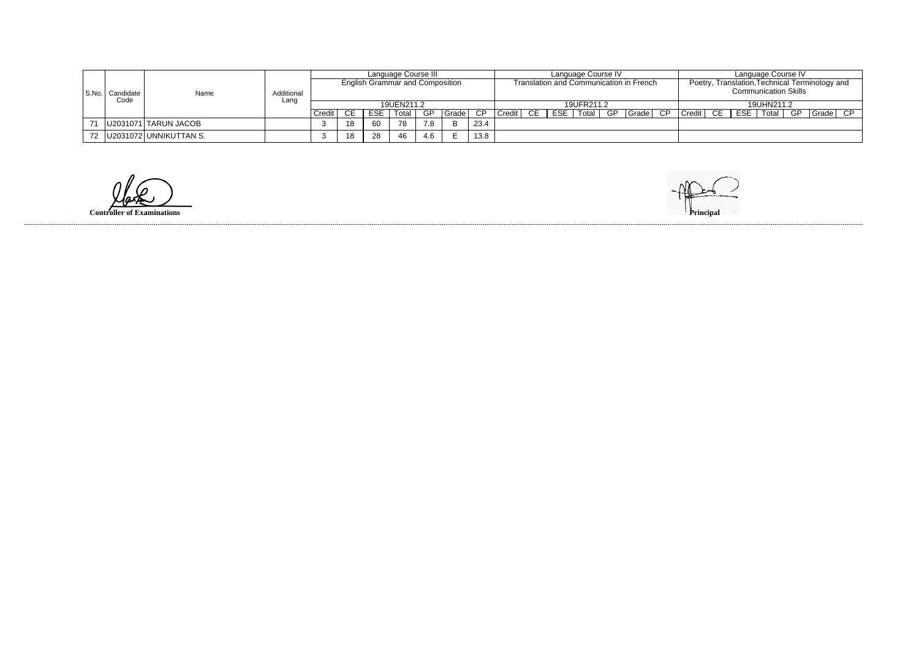|                             |                             |                    |        |     |                                        | Language Course III |     |       |      |               |    |            | Language Course IV |    |                                         |             |            | Language Course IV          |    |                                                |  |
|-----------------------------|-----------------------------|--------------------|--------|-----|----------------------------------------|---------------------|-----|-------|------|---------------|----|------------|--------------------|----|-----------------------------------------|-------------|------------|-----------------------------|----|------------------------------------------------|--|
|                             |                             |                    |        |     | <b>English Grammar and Composition</b> |                     |     |       |      |               |    |            |                    |    | Translation and Communication in French |             |            |                             |    | Poetry, Translation, Technical Terminology and |  |
| S.No.   Candidate  <br>Code | Name                        | Additional<br>Lanc |        |     |                                        |                     |     |       |      |               |    |            |                    |    |                                         |             |            | <b>Communication Skills</b> |    |                                                |  |
|                             |                             |                    |        |     | 19UEN211.2                             |                     |     |       |      |               |    | 19UFR211.2 |                    |    |                                         |             | 19UHN211.2 |                             |    |                                                |  |
|                             |                             |                    | Credit | CE. | <b>ESE</b>                             | Total               | GP. | Grade | CP.  | <b>Credit</b> | CE | ESE        | Total              | GP | Grade CP                                | Credit   CE | ESE        | Total,                      | GP | Grade  CP                                      |  |
|                             | U2031071 TARUN JACOB        |                    |        | 18  | 60                                     | 78                  | 7.8 | B     | 23.4 |               |    |            |                    |    |                                         |             |            |                             |    |                                                |  |
|                             | 72   U2031072 UNNIKUTTAN S. |                    |        | 18  | 28                                     | 46                  | 4.6 |       | 13.8 |               |    |            |                    |    |                                         |             |            |                             |    |                                                |  |

 $\omega$ 

**Controller of Examinations Principal**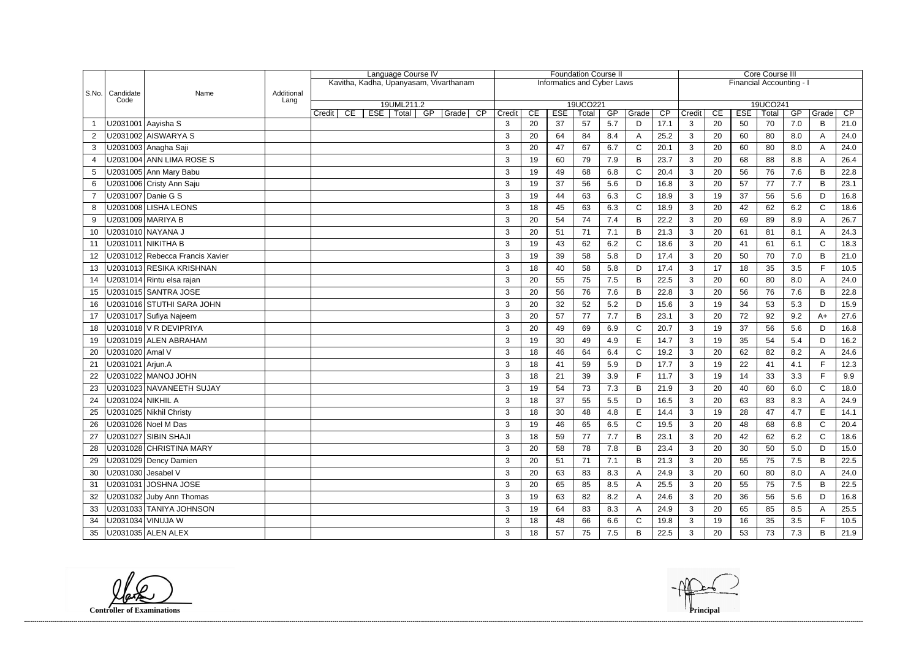|                |                           |                                 |                    |              |     | Language Course IV                     |          |                |    |            | <b>Foundation Course II</b>       |     |                |      |              |    |            | <b>Core Course III</b>   |     |              |      |
|----------------|---------------------------|---------------------------------|--------------------|--------------|-----|----------------------------------------|----------|----------------|----|------------|-----------------------------------|-----|----------------|------|--------------|----|------------|--------------------------|-----|--------------|------|
|                |                           |                                 |                    |              |     | Kavitha, Kadha, Upanyasam, Vivarthanam |          |                |    |            | <b>Informatics and Cyber Laws</b> |     |                |      |              |    |            | Financial Accounting - I |     |              |      |
|                | S.No.   Candidate<br>Code | Name                            | Additional<br>Lang |              |     |                                        |          |                |    |            |                                   |     |                |      |              |    |            |                          |     |              |      |
|                |                           |                                 |                    | CE<br>Credit | ESE | 19UML211.2<br><b>Total</b><br>GP       | Grade CP | Credit         | CE | <b>ESE</b> | 19UCO221<br>Total                 | GP  | Grade          | CP   | Credit       | CE | <b>ESE</b> | 19UCO241<br>Total        | GP  | Grade        | CP   |
|                | U2031001 Aayisha S        |                                 |                    |              |     |                                        |          | 3              | 20 | 37         | 57                                | 5.7 | D              | 17.1 | 3            | 20 | 50         | 70                       | 7.0 | B            | 21.0 |
| $\overline{2}$ |                           | U2031002 AISWARYA S             |                    |              |     |                                        |          | 3              | 20 | 64         | 84                                | 8.4 | A              | 25.2 | 3            | 20 | 60         | 80                       | 8.0 | A            | 24.0 |
| 3              |                           | U2031003 Anagha Saji            |                    |              |     |                                        |          | 3              | 20 | 47         | 67                                | 6.7 | $\mathsf{C}$   | 20.1 | 3            | 20 | 60         | 80                       | 8.0 | $\mathsf{A}$ | 24.0 |
| 4              |                           | U2031004 ANN LIMA ROSE S        |                    |              |     |                                        |          | 3              | 19 | 60         | 79                                | 7.9 | B              | 23.7 | 3            | 20 | 68         | 88                       | 8.8 | A            | 26.4 |
| 5              |                           | U2031005 Ann Mary Babu          |                    |              |     |                                        |          | 3              | 19 | 49         | 68                                | 6.8 | $\mathsf{C}$   | 20.4 | 3            | 20 | 56         | 76                       | 7.6 | B            | 22.8 |
| 6              |                           | U2031006 Cristy Ann Saju        |                    |              |     |                                        |          | 3              | 19 | 37         | 56                                | 5.6 | D              | 16.8 | 3            | 20 | 57         | 77                       | 7.7 | B            | 23.1 |
|                |                           | U2031007 Danie G S              |                    |              |     |                                        |          | 3              | 19 | 44         | 63                                | 6.3 | $\mathsf C$    | 18.9 | $\mathbf{3}$ | 19 | 37         | 56                       | 5.6 | D            | 16.8 |
| 8              |                           | U2031008 LISHA LEONS            |                    |              |     |                                        |          | 3              | 18 | 45         | 63                                | 6.3 | $\mathsf{C}$   | 18.9 | 3            | 20 | 42         | 62                       | 6.2 | $\mathsf C$  | 18.6 |
| 9              |                           | U2031009 MARIYA B               |                    |              |     |                                        |          | 3              | 20 | 54         | 74                                | 7.4 | B              | 22.2 | 3            | 20 | 69         | 89                       | 8.9 | A            | 26.7 |
| 10             |                           | U2031010 NAYANA J               |                    |              |     |                                        |          | 3              | 20 | 51         | 71                                | 7.1 | B              | 21.3 | $\mathbf{3}$ | 20 | 61         | 81                       | 8.1 | A            | 24.3 |
| 11             |                           | U2031011 NIKITHA B              |                    |              |     |                                        |          | 3              | 19 | 43         | 62                                | 6.2 | C              | 18.6 | 3            | 20 | 41         | 61                       | 6.1 | $\mathsf{C}$ | 18.3 |
| 12             |                           | U2031012 Rebecca Francis Xavier |                    |              |     |                                        |          | 3              | 19 | 39         | 58                                | 5.8 | D              | 17.4 | $\mathbf{3}$ | 20 | 50         | 70                       | 7.0 | $\sf B$      | 21.0 |
| 13             |                           | U2031013 RESIKA KRISHNAN        |                    |              |     |                                        |          | 3              | 18 | 40         | 58                                | 5.8 | D              | 17.4 | 3            | 17 | 18         | 35                       | 3.5 | F            | 10.5 |
| 14             |                           | U2031014 Rintu elsa rajan       |                    |              |     |                                        |          | 3              | 20 | 55         | 75                                | 7.5 | B              | 22.5 | 3            | 20 | 60         | 80                       | 8.0 | A            | 24.0 |
| 15             |                           | U2031015 SANTRA JOSE            |                    |              |     |                                        |          | 3              | 20 | 56         | 76                                | 7.6 | B              | 22.8 | 3            | 20 | 56         | 76                       | 7.6 | B            | 22.8 |
| 16             |                           | U2031016 STUTHI SARA JOHN       |                    |              |     |                                        |          | 3              | 20 | 32         | 52                                | 5.2 | D              | 15.6 | 3            | 19 | 34         | 53                       | 5.3 | D            | 15.9 |
| 17             |                           | U2031017 Sufiya Najeem          |                    |              |     |                                        |          | 3              | 20 | 57         | 77                                | 7.7 | $\overline{B}$ | 23.1 | $\mathbf{3}$ | 20 | 72         | 92                       | 9.2 | $A+$         | 27.6 |
| 18             |                           | U2031018 V R DEVIPRIYA          |                    |              |     |                                        |          | 3              | 20 | 49         | 69                                | 6.9 | C              | 20.7 | 3            | 19 | 37         | 56                       | 5.6 | D            | 16.8 |
| 19             |                           | U2031019 ALEN ABRAHAM           |                    |              |     |                                        |          | 3              | 19 | 30         | 49                                | 4.9 | E              | 14.7 | 3            | 19 | 35         | 54                       | 5.4 | D            | 16.2 |
| 20             | U2031020 Amal V           |                                 |                    |              |     |                                        |          | 3              | 18 | 46         | 64                                | 6.4 | $\mathsf{C}$   | 19.2 | 3            | 20 | 62         | 82                       | 8.2 | A            | 24.6 |
| 21             | U2031021   Arjun.A        |                                 |                    |              |     |                                        |          | 3              | 18 | 41         | 59                                | 5.9 | D              | 17.7 | 3            | 19 | 22         | 41                       | 4.1 | F.           | 12.3 |
| 22             |                           | U2031022 MANOJ JOHN             |                    |              |     |                                        |          | 3              | 18 | 21         | 39                                | 3.9 | F              | 11.7 | 3            | 19 | 14         | 33                       | 3.3 | E            | 9.9  |
| 23             |                           | U2031023 NAVANEETH SUJAY        |                    |              |     |                                        |          | 3              | 19 | 54         | 73                                | 7.3 | B              | 21.9 | 3            | 20 | 40         | 60                       | 6.0 | $\mathsf{C}$ | 18.0 |
| 24             | U2031024 NIKHIL A         |                                 |                    |              |     |                                        |          | 3              | 18 | 37         | 55                                | 5.5 | D              | 16.5 | 3            | 20 | 63         | 83                       | 8.3 |              | 24.9 |
| 25             |                           | U2031025 Nikhil Christy         |                    |              |     |                                        |          | $\mathbf{r}$   | 18 | 30         | 48                                | 4.8 | $\Box$         | 14.4 | $\sqrt{3}$   | 19 | 28         | 47                       | 4.7 | E            | 14.1 |
| 26             |                           | U2031026 Noel M Das             |                    |              |     |                                        |          | 3              | 19 | 46         | 65                                | 6.5 | $\mathsf{C}$   | 19.5 | $\mathbf{3}$ | 20 | 48         | 68                       | 6.8 | $\mathsf{C}$ | 20.4 |
| 27             |                           | U2031027 SIBIN SHAJI            |                    |              |     |                                        |          | 3              | 18 | 59         | 77                                | 7.7 | B              | 23.1 | $\mathbf{3}$ | 20 | 42         | 62                       | 6.2 | $\mathsf{C}$ | 18.6 |
| 28             |                           | U2031028 CHRISTINA MARY         |                    |              |     |                                        |          | 3              | 20 | 58         | 78                                | 7.8 | B              | 23.4 | $\mathbf{3}$ | 20 | 30         | 50                       | 5.0 | D            | 15.0 |
| 29             |                           | U2031029 Dency Damien           |                    |              |     |                                        |          | 3              | 20 | 51         | 71                                | 7.1 | B              | 21.3 | $\mathbf{3}$ | 20 | 55         | 75                       | 7.5 | B            | 22.5 |
| 30             | U2031030 Jesabel V        |                                 |                    |              |     |                                        |          | 3              | 20 | 63         | 83                                | 8.3 |                | 24.9 | $\mathbf{3}$ | 20 | 60         | 80                       | 8.0 |              | 24.0 |
| 31             |                           | U2031031 JOSHNA JOSE            |                    |              |     |                                        |          | 3              | 20 | 65         | 85                                | 8.5 |                | 25.5 | 3            | 20 | 55         | 75                       | 7.5 | B            | 22.5 |
| 32             |                           | U2031032 Juby Ann Thomas        |                    |              |     |                                        |          | 3              | 19 | 63         | 82                                | 8.2 | A              | 24.6 | $\mathbf{3}$ | 20 | 36         | 56                       | 5.6 | D            | 16.8 |
| 33             |                           | U2031033 TANIYA JOHNSON         |                    |              |     |                                        |          | 3              | 19 | 64         | 83                                | 8.3 | A              | 24.9 | 3            | 20 | 65         | 85                       | 8.5 |              | 25.5 |
| 34             |                           | U2031034 VINUJA W               |                    |              |     |                                        |          | 3              | 18 | 48         | 66                                | 6.6 | C              | 19.8 | $\mathbf{3}$ | 19 | 16         | 35                       | 3.5 |              | 10.5 |
| 35             |                           | U2031035 ALEN ALEX              |                    |              |     |                                        |          | 3 <sup>1</sup> | 18 | 57         | 75                                | 7.5 | B              | 22.5 | 3            | 20 | 53         | 73                       | 7.3 | B            | 21.9 |

**Controller of Examinations Principal**

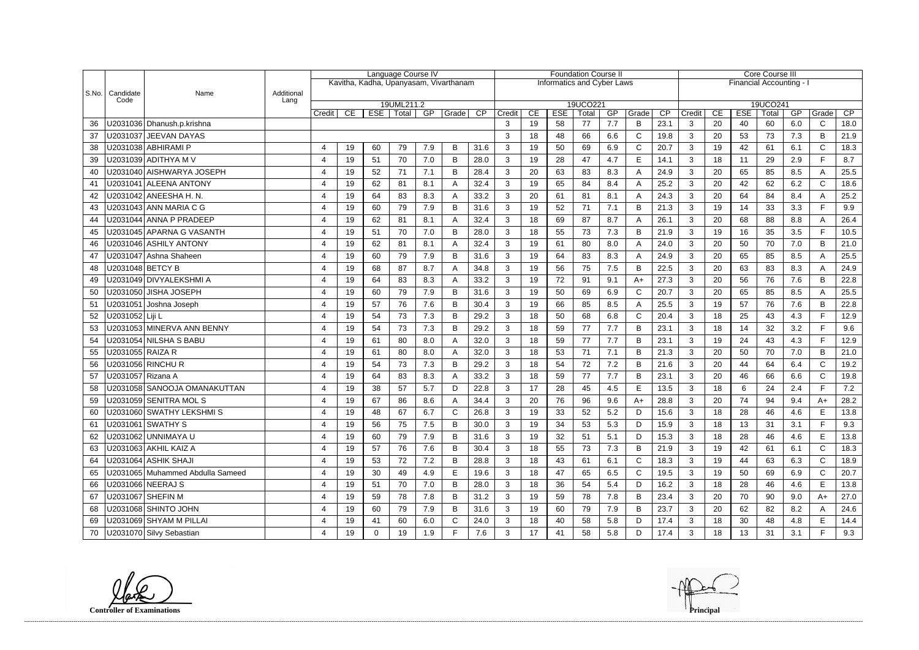|           |                     |                                  |                    |                         |                        |            | Language Course IV                     |     |              |      |                |    |                                   | <b>Foundation Course II</b> |           |              |                 |              |    |                          | <b>Core Course III</b> |     |                       |      |
|-----------|---------------------|----------------------------------|--------------------|-------------------------|------------------------|------------|----------------------------------------|-----|--------------|------|----------------|----|-----------------------------------|-----------------------------|-----------|--------------|-----------------|--------------|----|--------------------------|------------------------|-----|-----------------------|------|
|           |                     |                                  |                    |                         |                        |            | Kavitha, Kadha, Upanyasam, Vivarthanam |     |              |      |                |    | <b>Informatics and Cyber Laws</b> |                             |           |              |                 |              |    | Financial Accounting - I |                        |     |                       |      |
| $ $ S.No. | Candidate<br>Code   | Name                             | Additional<br>Lang |                         |                        |            |                                        |     |              |      |                |    |                                   |                             |           |              |                 |              |    |                          |                        |     |                       |      |
|           |                     |                                  |                    |                         |                        |            | 19UML211.2                             |     |              |      |                |    |                                   | 19UCO221                    |           |              |                 |              |    |                          | 19UCO241               |     |                       |      |
|           |                     |                                  |                    | Credit                  | CE                     | <b>ESE</b> | Total                                  | GP  | Grade        | CP   | Credit         | CE | <b>ESE</b>                        | Total                       | GP<br>7.7 | Grade        | $\overline{CP}$ | Credit       | CE | <b>ESE</b>               | Total                  | GP  | Grade<br>$\mathsf{C}$ | CP   |
| 36        |                     | U2031036 Dhanush.p.krishna       |                    |                         |                        |            |                                        |     |              |      | 3              | 19 | 58                                | 77                          |           | B            | 23.1            | 3            | 20 | 40                       | 60                     | 6.0 |                       | 18.0 |
| 37        |                     | U2031037 JEEVAN DAYAS            |                    |                         |                        |            |                                        |     |              |      | 3              | 18 | 48                                | 66                          | 6.6       | $\mathsf{C}$ | 19.8            | 3            | 20 | 53                       | 73                     | 7.3 | B                     | 21.9 |
| 38        |                     | U2031038 ABHIRAMI P              |                    | 4                       | 19                     | 60         | 79                                     | 7.9 | B            | 31.6 | 3              | 19 | 50                                | 69                          | 6.9       | $\mathsf{C}$ | 20.7            | 3            | 19 | 42                       | 61                     | 6.1 | $\mathsf{C}$<br>F.    | 18.3 |
| 39        |                     |                                  |                    | $\overline{4}$          | 19                     | 51         | 70                                     | 7.0 | B            | 28.0 | 3              | 19 | 28                                | 47                          | 4.7       | $\mathsf E$  | 14.1            | 3            | 18 | 11                       | 29                     | 2.9 |                       | 8.7  |
| 40        |                     | U2031040 AISHWARYA JOSEPH        |                    | 4                       | 19                     | 52         | 71                                     | 7.1 | B            | 28.4 | 3              | 20 | 63                                | 83                          | 8.3       | A            | 24.9            | 3            | 20 | 65                       | 85                     | 8.5 | A                     | 25.5 |
| 41        |                     | U2031041 ALEENA ANTONY           |                    | $\overline{\mathbf{4}}$ | 19                     | 62         | 81                                     | 8.1 |              | 32.4 | 3              | 19 | 65                                | 84                          | 8.4       | A            | 25.2            | 3            | 20 | 42                       | 62                     | 6.2 | $\mathsf{C}$          | 18.6 |
| 42        |                     | U2031042   ANEESHA H. N.         |                    | 4                       | 19                     | 64         | 83                                     | 8.3 |              | 33.2 | 3              | 20 | 61                                | 81                          | 8.1       | A            | 24.3            | 3            | 20 | 64                       | 84                     | 8.4 | A                     | 25.2 |
| 43        |                     | U2031043 ANN MARIA C G           |                    | 4                       | 19                     | 60         | 79                                     | 7.9 | B            | 31.6 | 3              | 19 | 52                                | 71                          | 7.1       | B            | 21.3            | 3            | 19 | 14                       | 33                     | 3.3 | F                     | 9.9  |
| 44        |                     | U2031044 ANNA P PRADEEP          |                    | $\overline{\mathbf{4}}$ | 19                     | 62         | 81                                     | 8.1 |              | 32.4 | 3              | 18 | 69                                | 87                          | 8.7       | A            | 26.1            | 3            | 20 | 68                       | 88                     | 8.8 | A                     | 26.4 |
| 45        |                     | U2031045 APARNA G VASANTH        |                    | 4                       | 19                     | 51         | 70                                     | 7.0 | B            | 28.0 | 3              | 18 | 55                                | 73                          | 7.3       | B            | 21.9            | 3            | 19 | 16                       | 35                     | 3.5 | F.                    | 10.5 |
| 46        |                     | U2031046 ASHILY ANTONY           |                    | 4                       | 19                     | 62         | 81                                     | 8.1 |              | 32.4 | 3              | 19 | 61                                | 80                          | 8.0       | A            | 24.0            | 3            | 20 | 50                       | 70                     | 7.0 | B                     | 21.0 |
| 47        |                     | U2031047 Ashna Shaheen           |                    | 4                       | 19                     | 60         | 79                                     | 7.9 | B            | 31.6 | 3              | 19 | 64                                | 83                          | 8.3       | A            | 24.9            | 3            | 20 | 65                       | 85                     | 8.5 | A                     | 25.5 |
| 48        |                     | U2031048 BETCY B                 |                    | 4                       | 19                     | 68         | 87                                     | 8.7 |              | 34.8 | 3              | 19 | 56                                | 75                          | 7.5       | B            | 22.5            | 3            | 20 | 63                       | 83                     | 8.3 | A                     | 24.9 |
| 49        |                     | U2031049 DIVYALEKSHMI A          |                    | $\overline{4}$          | 19                     | 64         | 83                                     | 8.3 | A            | 33.2 | 3              | 19 | 72                                | 91                          | 9.1       | $A+$         | 27.3            | 3            | 20 | 56                       | 76                     | 7.6 | B                     | 22.8 |
| 50        |                     | U2031050 JISHA JOSEPH            |                    | 4                       | 19                     | 60         | 79                                     | 7.9 | B            | 31.6 | 3              | 19 | 50                                | 69                          | 6.9       | $\mathsf{C}$ | 20.7            | 3            | 20 | 65                       | 85                     | 8.5 | A                     | 25.5 |
| 51        |                     | U2031051 Joshna Joseph           |                    | 4                       | 19                     | 57         | 76                                     | 7.6 | B            | 30.4 | 3              | 19 | 66                                | 85                          | 8.5       | A            | 25.5            | 3            | 19 | 57                       | 76                     | 7.6 | B                     | 22.8 |
| 52        | U2031052   Liji L   |                                  |                    | 4                       | 19                     | 54         | 73                                     | 7.3 | B            | 29.2 | 3              | 18 | 50                                | 68                          | 6.8       | $\mathsf{C}$ | 20.4            | 3            | 18 | 25                       | 43                     | 4.3 | F.                    | 12.9 |
| 53        |                     | U2031053 MINERVA ANN BENNY       |                    | 4                       | 19                     | 54         | 73                                     | 7.3 | B            | 29.2 | 3              | 18 | 59                                | 77                          | 7.7       | B            | 23.1            | 3            | 18 | 14                       | 32                     | 3.2 | F                     | 9.6  |
| 54        |                     | U2031054 NILSHA S BABU           |                    | 4                       | 19                     | 61         | 80                                     | 8.0 |              | 32.0 | 3              | 18 | 59                                | 77                          | 7.7       | B            | 23.1            | 3            | 19 | 24                       | 43                     | 4.3 | F.                    | 12.9 |
| 55        | U2031055 RAIZA R    |                                  |                    | 4                       | 19                     | 61         | 80                                     | 8.0 |              | 32.0 | 3              | 18 | 53                                | 71                          | 7.1       | B            | 21.3            | 3            | 20 | 50                       | 70                     | 7.0 | B                     | 21.0 |
| 56        |                     | U2031056 RINCHU R                |                    | $\overline{\mathbf{4}}$ | 19                     | 54         | 73                                     | 7.3 | B            | 29.2 | 3              | 18 | 54                                | 72                          | 7.2       | B            | 21.6            | 3            | 20 | 44                       | 64                     | 6.4 | $\mathsf{C}$          | 19.2 |
| 57        | U2031057   Rizana A |                                  |                    | 4                       | 19                     | 64         | 83                                     | 8.3 |              | 33.2 | 3              | 18 | 59                                | 77                          | 7.7       | B            | 23.1            | 3            | 20 | 46                       | 66                     | 6.6 | $\mathsf{C}$          | 19.8 |
| 58        |                     | U2031058 SANOOJA OMANAKUTTAN     |                    | 4                       | 19                     | 38         | 57                                     | 5.7 | D            | 22.8 | 3              | 17 | 28                                | 45                          | 4.5       | E            | 13.5            | 3            | 18 | 6                        | 24                     | 2.4 | F.                    | 7.2  |
| 59        |                     | U2031059 SENITRA MOL S           |                    | 4                       | 19                     | 67         | 86                                     | 8.6 |              | 34.4 | 3              | 20 | 76                                | 96                          | 9.6       | $A+$         | 28.8            | 3            | 20 | 74                       | 94                     | 9.4 | $A+$                  | 28.2 |
| 60        |                     | U2031060 SWATHY LEKSHMIS         |                    |                         | 10 <sub>1</sub><br>ט ו | 48         | 67                                     | 6.7 | ◠            | 26.8 | $\mathbf{z}$   | 19 | 33                                | 52                          | 52<br>ے.ب | <sub>D</sub> | 15.6            | $\sqrt{3}$   | 18 | 28<br>∠∪                 | 46                     | 4.6 | E.<br><u>_</u>        | 13.8 |
| 61        |                     | U2031061 SWATHY S                |                    | 4                       | 19                     | 56         | 75                                     | 7.5 | B            | 30.0 | 3              | 19 | 34                                | 53                          | 5.3       | D            | 15.9            | $\mathbf{3}$ | 18 | 13                       | 31                     | 3.1 | F.                    | 9.3  |
| 62        |                     | U2031062 UNNIMAYA U              |                    | 4                       | 19                     | 60         | 79                                     | 7.9 | B            | 31.6 | 3              | 19 | 32                                | 51                          | 5.1       | D            | 15.3            | $\mathbf{3}$ | 18 | 28                       | 46                     | 4.6 | E                     | 13.8 |
| 63        |                     | U2031063 AKHIL KAIZ A            |                    | 4                       | 19                     | 57         | 76                                     | 7.6 | B            | 30.4 | 3              | 18 | 55                                | 73                          | 7.3       | B            | 21.9            | $\mathbf{3}$ | 19 | 42                       | 61                     | 6.1 | $\mathsf{C}$          | 18.3 |
| 64        |                     | U2031064 ASHIK SHAJI             |                    | 4                       | 19                     | 53         | 72                                     | 7.2 | B            | 28.8 | 3              | 18 | 43                                | 61                          | 6.1       | $\mathbf C$  | 18.3            | $\mathbf{3}$ | 19 | 44                       | 63                     | 6.3 | $\mathsf{C}$          | 18.9 |
| 65        |                     | U2031065 Muhammed Abdulla Sameed |                    | 4                       | 19                     | 30         | 49                                     | 4.9 | E            | 19.6 | 3 <sup>1</sup> | 18 | 47                                | 65                          | 6.5       | $\mathsf{C}$ | 19.5            | $\mathbf{3}$ | 19 | 50                       | 69                     | 6.9 | $\mathsf{C}$          | 20.7 |
| 66        |                     | U2031066 NEERAJ S                |                    | 4                       | 19                     | 51         | 70                                     | 7.0 | B            | 28.0 | 3              | 18 | 36                                | 54                          | 5.4       | D            | 16.2            | $\mathbf{3}$ | 18 | 28                       | 46                     | 4.6 | E.                    | 13.8 |
| 67        |                     | U2031067 SHEFIN M                |                    | 4                       | 19                     | 59         | 78                                     | 7.8 | B            | 31.2 | 3              | 19 | 59                                | 78                          | 7.8       | B            | 23.4            | $\mathbf{3}$ | 20 | 70                       | 90                     | 9.0 | $A+$                  | 27.0 |
| 68        |                     | U2031068 SHINTO JOHN             |                    | 4                       | 19                     | 60         | 79                                     | 7.9 | B            | 31.6 | 3 <sup>1</sup> | 19 | 60                                | 79                          | 7.9       | B            | 23.7            | $\mathbf{3}$ | 20 | 62                       | 82                     | 8.2 |                       | 24.6 |
| 69        |                     | U2031069 SHYAM M PILLAI          |                    | 4                       | 19                     | 41         | 60                                     | 6.0 | $\mathsf{C}$ | 24.0 | 3              | 18 | 40                                | 58                          | 5.8       | D            | 17.4            | $\mathbf{3}$ | 18 | 30                       | 48                     | 4.8 | E                     | 14.4 |
|           |                     | 70   U2031070 Silvy Sebastian    |                    | 4                       | 19                     | 0          | 19                                     | 1.9 | F.           | 7.6  | 3 <sup>1</sup> | 17 | 41                                | 58                          | 5.8       | D            | 17.4            | $\mathbf{3}$ | 18 | 13                       | 31                     | 3.1 | F.                    | 9.3  |

**Controller of Examinations Principal**

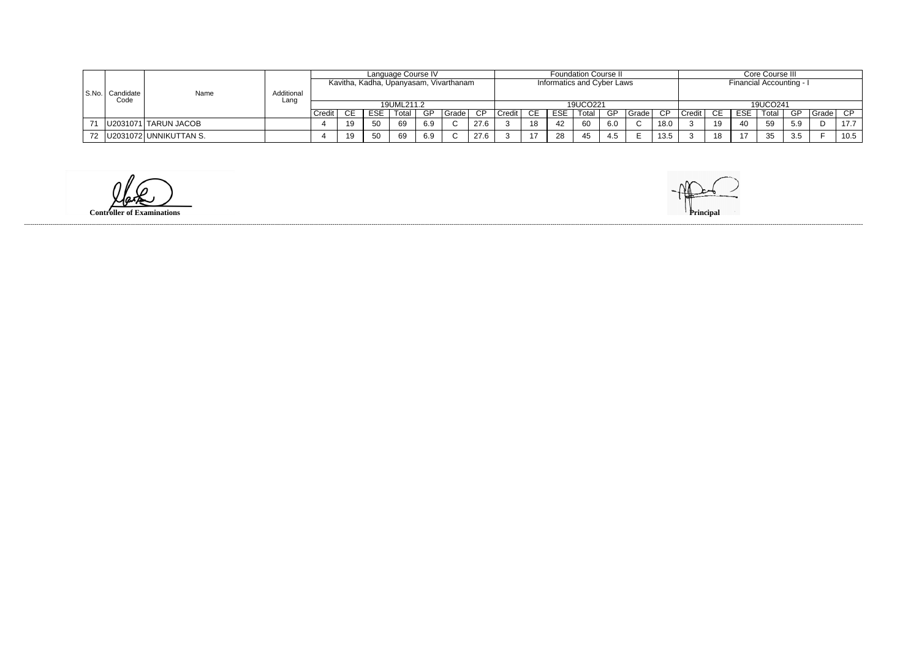|           |                   |                               |                    |        |    |            | Language Course IV |     |                                        |      |        |    |                            | <b>Foundation Course II</b> |     |         |      |        |      |            | Core Course III          |     |         |      |
|-----------|-------------------|-------------------------------|--------------------|--------|----|------------|--------------------|-----|----------------------------------------|------|--------|----|----------------------------|-----------------------------|-----|---------|------|--------|------|------------|--------------------------|-----|---------|------|
|           |                   |                               |                    |        |    |            |                    |     | Kavitha, Kadha, Upanyasam, Vivarthanam |      |        |    | Informatics and Cyber Laws |                             |     |         |      |        |      |            | Financial Accounting - I |     |         |      |
| l S.No. l | Candidate<br>Code | Name                          | Additional<br>Lanc |        |    |            |                    |     |                                        |      |        |    |                            |                             |     |         |      |        |      |            |                          |     |         |      |
|           |                   |                               |                    |        |    |            | 19UML211.2         |     |                                        |      |        |    |                            | 19UCO221                    |     |         |      |        |      |            | 19UCO241                 |     |         |      |
|           |                   |                               |                    | Credit | า⊏ | <b>ESE</b> | Total              | GP  | l Grade I                              | CP.  | Credit | CE | <b>ESE</b>                 | Total                       | GP  | Grade I | CP.  | Credit | - CE | <b>ESE</b> | Total                    | -GP | I Grade | CP   |
| 71        |                   | U2031071 TARUN JACOB          |                    |        | 19 | 50         | 69                 | 6.9 |                                        | 27.6 |        | 18 | 42                         | 60                          |     |         | 18.0 |        | 19   | 40         | 59                       | 5.9 |         | 17.7 |
|           |                   | 72   U2031072   UNNIKUTTAN S. |                    |        | 19 | 50         | 69                 | 6.9 |                                        | 27.6 |        | 17 | 28                         | 45                          | 4.5 |         | 13.5 |        | 18   | 47         | 35                       | 3.5 |         | 10.5 |

 $\omega$ 

**Controller of Examinations Principal**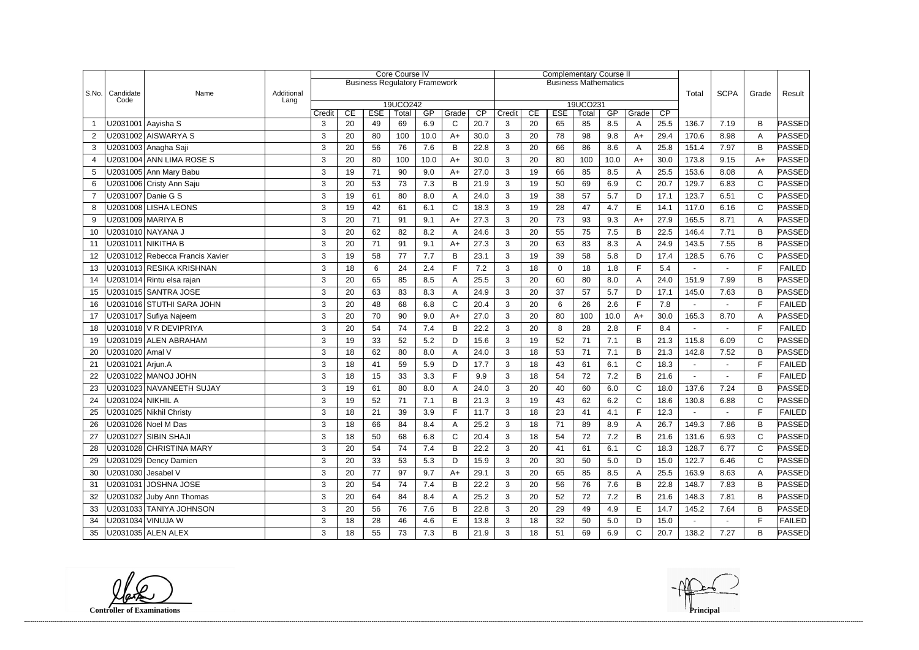|                |                    |                                 |                    |                |    |            | Core Course IV                       |      |              |      |              |    |            | <b>Complementary Course II</b> |      |              |      |        |                |              |               |
|----------------|--------------------|---------------------------------|--------------------|----------------|----|------------|--------------------------------------|------|--------------|------|--------------|----|------------|--------------------------------|------|--------------|------|--------|----------------|--------------|---------------|
|                |                    |                                 |                    |                |    |            | <b>Business Regulatory Framework</b> |      |              |      |              |    |            | <b>Business Mathematics</b>    |      |              |      |        |                |              |               |
| S.No.          | Candidate<br>Code  | Name                            | Additional<br>Lang |                |    |            |                                      |      |              |      |              |    |            |                                |      |              |      | Total  | <b>SCPA</b>    | Grade        | Result        |
|                |                    |                                 |                    | Credit         | CE | <b>ESE</b> | 19UCO242<br>Total                    | GP   | Grade        | CP   | Credit       | CE | <b>ESE</b> | 19UCO231<br>Total              | GP   | Grade        | CP   |        |                |              |               |
|                | U2031001 Aayisha S |                                 |                    | 3              | 20 | 49         | 69                                   | 6.9  | C            | 20.7 | 3            | 20 | 65         | 85                             | 8.5  | A            | 25.5 | 136.7  | 7.19           | B            | PASSED        |
| 2              |                    | U2031002 AISWARYA S             |                    | 3              | 20 | 80         | 100                                  | 10.0 | $A+$         | 30.0 | 3            | 20 | 78         | 98                             | 9.8  | $A+$         | 29.4 | 170.6  | 8.98           | A            | PASSED        |
| 3              |                    | U2031003 Anagha Saji            |                    | 3              | 20 | 56         | 76                                   | 7.6  | B            | 22.8 | 3            | 20 | 66         | 86                             | 8.6  | A            | 25.8 | 151.4  | 7.97           | B            | PASSED        |
| 4              |                    | U2031004 ANN LIMA ROSE S        |                    | 3              | 20 | 80         | 100                                  | 10.0 | $A+$         | 30.0 | 3            | 20 | 80         | 100                            | 10.0 | $A+$         | 30.0 | 173.8  | 9.15           | $A+$         | PASSED        |
| 5              |                    | U2031005 Ann Mary Babu          |                    | 3              | 19 | 71         | 90                                   | 9.0  | $A+$         | 27.0 | 3            | 19 | 66         | 85                             | 8.5  | A            | 25.5 | 153.6  | 8.08           | A            | PASSED        |
| 6              |                    | U2031006 Cristy Ann Saju        |                    | $\mathbf{3}$   | 20 | 53         | 73                                   | 7.3  | B            | 21.9 | 3            | 19 | 50         | 69                             | 6.9  | $\mathsf{C}$ | 20.7 | 129.7  | 6.83           | $\mathsf{C}$ | PASSED        |
| $\overline{7}$ |                    | U2031007 Danie G S              |                    | 3              | 19 | 61         | 80                                   | 8.0  | A            | 24.0 | 3            | 19 | 38         | 57                             | 5.7  | D            | 17.1 | 123.7  | 6.51           | $\mathsf{C}$ | PASSED        |
| 8              |                    | U2031008 LISHA LEONS            |                    | 3              | 19 | 42         | 61                                   | 6.1  | $\mathsf{C}$ | 18.3 | 3            | 19 | 28         | 47                             | 4.7  | E            | 14.1 | 117.0  | 6.16           | $\mathsf{C}$ | PASSED        |
| 9              |                    | U2031009 MARIYA B               |                    | 3              | 20 | 71         | 91                                   | 9.1  | $A+$         | 27.3 | 3            | 20 | 73         | 93                             | 9.3  | $A+$         | 27.9 | 165.5  | 8.71           | A            | PASSED        |
| 10             |                    | U2031010 NAYANA J               |                    | 3              | 20 | 62         | 82                                   | 8.2  | A            | 24.6 | 3            | 20 | 55         | 75                             | 7.5  | B            | 22.5 | 146.4  | 7.71           | B            | PASSED        |
| 11             |                    | U2031011 NIKITHA B              |                    | $\mathfrak{S}$ | 20 | 71         | 91                                   | 9.1  | $A+$         | 27.3 | $\mathbf{3}$ | 20 | 63         | 83                             | 8.3  | A            | 24.9 | 143.5  | 7.55           | B            | PASSED        |
| 12             |                    | U2031012 Rebecca Francis Xavier |                    | 3              | 19 | 58         | 77                                   | 7.7  | B            | 23.1 | 3            | 19 | 39         | 58                             | 5.8  | D            | 17.4 | 128.5  | 6.76           | $\mathsf{C}$ | PASSED        |
| 13             |                    | U2031013 RESIKA KRISHNAN        |                    | 3              | 18 | 6          | 24                                   | 2.4  | F            | 7.2  | 3            | 18 | $\Omega$   | 18                             | 1.8  | F.           | 5.4  |        |                | E            | <b>FAILED</b> |
| 14             |                    | U2031014 Rintu elsa rajan       |                    | 3              | 20 | 65         | 85                                   | 8.5  | A            | 25.5 | 3            | 20 | 60         | 80                             | 8.0  | A            | 24.0 | 151.9  | 7.99           | B            | PASSED        |
| 15             |                    | U2031015 SANTRA JOSE            |                    | 3              | 20 | 63         | 83                                   | 8.3  | A            | 24.9 | 3            | 20 | 37         | 57                             | 5.7  | D            | 17.1 | 145.0  | 7.63           | B            | PASSED        |
| 16             |                    | U2031016 STUTHI SARA JOHN       |                    | $\mathbf{3}$   | 20 | 48         | 68                                   | 6.8  | $\mathsf C$  | 20.4 | 3            | 20 | 6          | 26                             | 2.6  | F.           | 7.8  |        |                | E            | <b>FAILED</b> |
| 17             |                    | U2031017 Sufiya Najeem          |                    | 3              | 20 | 70         | 90                                   | 9.0  | $A+$         | 27.0 | 3            | 20 | 80         | 100                            | 10.0 | $A+$         | 30.0 | 165.3  | 8.70           | A            | PASSED        |
| 18             |                    | U2031018 V R DEVIPRIYA          |                    | 3              | 20 | 54         | 74                                   | 7.4  | B            | 22.2 | 3            | 20 | 8          | 28                             | 2.8  | F.           | 8.4  |        |                | F            | <b>FAILED</b> |
| 19             |                    | U2031019 ALEN ABRAHAM           |                    | 3              | 19 | 33         | 52                                   | 5.2  | D            | 15.6 | 3            | 19 | 52         | 71                             | 7.1  | B            | 21.3 | 115.8  | 6.09           | $\mathsf{C}$ | PASSED        |
| 20             | U2031020 Amal V    |                                 |                    | 3              | 18 | 62         | 80                                   | 8.0  | A            | 24.0 | 3            | 18 | 53         | 71                             | 7.1  | B            | 21.3 | 142.8  | 7.52           | B            | PASSED        |
| 21             | U2031021 Arjun.A   |                                 |                    | $\mathfrak{S}$ | 18 | 41         | 59                                   | 5.9  | D            | 17.7 | $\mathbf{3}$ | 18 | 43         | 61                             | 6.1  | $\mathbf C$  | 18.3 |        |                | F            | <b>FAILED</b> |
| 22             |                    | U2031022 MANOJ JOHN             |                    | 3              | 18 | 15         | 33                                   | 3.3  | F            | 9.9  | 3            | 18 | 54         | 72                             | 7.2  | B            | 21.6 |        | $\blacksquare$ | F            | <b>FAILED</b> |
| 23             |                    | U2031023 NAVANEETH SUJAY        |                    | 3              | 19 | 61         | 80                                   | 8.0  | A            | 24.0 | 3            | 20 | 40         | 60                             | 6.0  | $\mathsf{C}$ | 18.0 | 137.6  | 7.24           | B            | PASSED        |
| 24             | U2031024 NIKHIL A  |                                 |                    | 3              | 19 | 52         | 71                                   | 7.1  | B            | 21.3 | 3            | 19 | 43         | 62                             | 6.2  | $\mathsf{C}$ | 18.6 | 130.8  | 6.88           | $\mathsf{C}$ | PASSED        |
| 25             |                    | U2031025 Nikhil Christy         |                    | 3              | 18 | 21         | 39                                   | 3.9  | Е            | 11.7 | 3            | 18 | 23         | 41                             | 4.1  | E            | 12.3 |        |                | Е            | <b>FAILED</b> |
| 26             |                    | U2031026 Noel M Das             |                    | 3              | 18 | 66         | 84                                   | 8.4  | Α            | 25.2 | 3            | 18 | 71         | 89                             | 8.9  | A            | 26.7 | 149.3  | 7.86           | B            | <b>PASSED</b> |
| 27             |                    | U2031027 SIBIN SHAJI            |                    | 3              | 18 | 50         | 68                                   | 6.8  | $\mathsf{C}$ | 20.4 | 3            | 18 | 54         | 72                             | 7.2  | B            | 21.6 | 131.6  | 6.93           | $\mathsf{C}$ | PASSED        |
| 28             |                    | U2031028 CHRISTINA MARY         |                    | 3              | 20 | 54         | 74                                   | 7.4  | B            | 22.2 | 3            | 20 | 41         | 61                             | 6.1  | $\mathsf{C}$ | 18.3 | 128.7  | 6.77           | C            | PASSED        |
| 29             |                    | U2031029 Dency Damien           |                    | 3              | 20 | 33         | 53                                   | 5.3  | D            | 15.9 | 3            | 20 | 30         | 50                             | 5.0  | D            | 15.0 | 122.7  | 6.46           | C            | PASSED        |
| 30             | U2031030 Jesabel V |                                 |                    | 3              | 20 | 77         | 97                                   | 9.7  | $A+$         | 29.1 | 3            | 20 | 65         | 85                             | 8.5  | A            | 25.5 | 163.9  | 8.63           | A            | PASSED        |
| 31             |                    | U2031031 JOSHNA JOSE            |                    | 3              | 20 | 54         | 74                                   | 7.4  | B            | 22.2 | 3            | 20 | 56         | 76                             | 7.6  | B            | 22.8 | 148.7  | 7.83           | B            | PASSED        |
| 32             |                    | U2031032 Juby Ann Thomas        |                    | 3              | 20 | 64         | 84                                   | 8.4  | A            | 25.2 | 3            | 20 | 52         | 72                             | 7.2  | B            | 21.6 | 148.3  | 7.81           | В            | PASSED        |
| 33             |                    | U2031033 TANIYA JOHNSON         |                    | 3              | 20 | 56         | 76                                   | 7.6  | B            | 22.8 | 3            | 20 | 29         | 49                             | 4.9  | E            | 14.7 | 145.2  | 7.64           | B            | PASSED        |
| 34             |                    | U2031034 VINUJA W               |                    | 3              | 18 | 28         | 46                                   | 4.6  | E            | 13.8 | 3            | 18 | 32         | 50                             | 5.0  | D            | 15.0 | $\sim$ | $\sim$         | F            | <b>FAILED</b> |
| 35             |                    | U2031035 ALEN ALEX              |                    | $\mathbf{3}$   | 18 | 55         | 73                                   | 7.3  | B            | 21.9 | 3            | 18 | 51         | 69                             | 6.9  | C            | 20.7 | 138.2  | 7.27           | B            | <b>PASSED</b> |

**Controller of Examinations Principal**

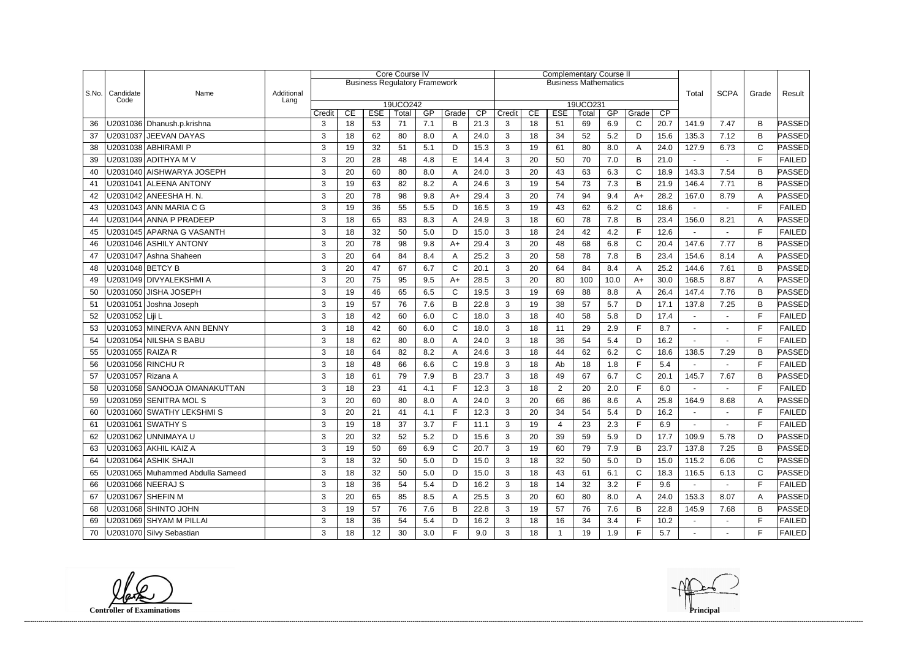|       |                   |                                  |                    |        |    |            | Core Course IV                       |                |              |      |              |    | <b>Complementary Course II</b> |                   |         |              |      |                |                |              |               |
|-------|-------------------|----------------------------------|--------------------|--------|----|------------|--------------------------------------|----------------|--------------|------|--------------|----|--------------------------------|-------------------|---------|--------------|------|----------------|----------------|--------------|---------------|
|       |                   |                                  |                    |        |    |            | <b>Business Regulatory Framework</b> |                |              |      |              |    | <b>Business Mathematics</b>    |                   |         |              |      |                |                |              |               |
| S.No. | Candidate<br>Code | Name                             | Additional<br>Lang |        |    |            |                                      |                |              |      |              |    |                                |                   |         |              |      | Total          | <b>SCPA</b>    | Grade        | Result        |
|       |                   |                                  |                    | Credit | CE | <b>ESE</b> | 19UCO242<br>Total                    | GP             | Grade        | CP   | Credit       | CE | <b>ESE</b>                     | 19UCO231<br>Total | GP      | Grade        | CP   |                |                |              |               |
| 36    |                   | U2031036 Dhanush.p.krishna       |                    | 3      | 18 | 53         | 71                                   | 7.1            | B            | 21.3 | 3            | 18 | 51                             | 69                | 6.9     | $\mathsf{C}$ | 20.7 | 141.9          | 7.47           | B            | PASSED        |
| 37    |                   | U2031037 JEEVAN DAYAS            |                    | 3      | 18 | 62         | 80                                   | 8.0            | A            | 24.0 | 3            | 18 | 34                             | 52                | 5.2     | D            | 15.6 | 135.3          | 7.12           | B            | PASSED        |
| 38    |                   | U2031038 ABHIRAMI P              |                    | 3      | 19 | 32         | 51                                   | 5.1            | D            | 15.3 | 3            | 19 | 61                             | 80                | 8.0     | A            | 24.0 | 127.9          | 6.73           | $\mathsf{C}$ | PASSED        |
| 39    |                   | U2031039 ADITHYA M V             |                    | 3      | 20 | 28         | 48                                   | 4.8            | E            | 14.4 | 3            | 20 | 50                             | 70                | 7.0     | B            | 21.0 |                |                | E            | <b>FAILED</b> |
| 40    |                   | U2031040 AISHWARYA JOSEPH        |                    | 3      | 20 | 60         | 80                                   | 8.0            | A            | 24.0 | 3            | 20 | 43                             | 63                | 6.3     | $\mathsf{C}$ | 18.9 | 143.3          | 7.54           | B            | ∣PASSED       |
| 41    |                   | U2031041 ALEENA ANTONY           |                    | 3      | 19 | 63         | 82                                   | 8.2            | A            | 24.6 | 3            | 19 | 54                             | 73                | 7.3     | B            | 21.9 | 146.4          | 7.71           | B            | PASSED        |
| 42    |                   | U2031042 ANEESHA H. N.           |                    | 3      | 20 | 78         | 98                                   | 9.8            | $A+$         | 29.4 | 3            | 20 | 74                             | 94                | 9.4     | $A+$         | 28.2 | 167.0          | 8.79           | Α            | PASSED        |
| 43    |                   | U2031043 ANN MARIA C G           |                    | 3      | 19 | 36         | 55                                   | 5.5            | D            | 16.5 | 3            | 19 | 43                             | 62                | 6.2     | C            | 18.6 |                |                | F            | <b>FAILED</b> |
| 44    |                   | U2031044 ANNA P PRADEEP          |                    | 3      | 18 | 65         | 83                                   | 8.3            | A            | 24.9 | 3            | 18 | 60                             | 78                | 7.8     | B            | 23.4 | 156.0          | 8.21           | A            | PASSED        |
| 45    |                   | U2031045 APARNA G VASANTH        |                    | 3      | 18 | 32         | 50                                   | $5.0\,$        | D            | 15.0 | 3            | 18 | 24                             | 42                | 4.2     | F            | 12.6 |                | $\sim$         | E            | <b>FAILED</b> |
| 46    |                   | U2031046 ASHILY ANTONY           |                    | 3      | 20 | 78         | 98                                   | 9.8            | $A+$         | 29.4 | 3            | 20 | 48                             | 68                | 6.8     | $\mathsf C$  | 20.4 | 147.6          | 7.77           | B            | ∣PASSED       |
| 47    |                   | U2031047 Ashna Shaheen           |                    | 3      | 20 | 64         | 84                                   | 8.4            | A            | 25.2 | 3            | 20 | 58                             | 78                | 7.8     | B            | 23.4 | 154.6          | 8.14           | A            | PASSED        |
| 48    | U2031048 BETCY B  |                                  |                    | 3      | 20 | 47         | 67                                   | 6.7            | $\mathsf{C}$ | 20.1 | 3            | 20 | 64                             | 84                | 8.4     | A            | 25.2 | 144.6          | 7.61           | B            | PASSED        |
| 49    |                   | U2031049 DIVYALEKSHMI A          |                    | 3      | 20 | 75         | 95                                   | 9.5            | $A+$         | 28.5 | 3            | 20 | 80                             | 100               | 10.0    | $A+$         | 30.0 | 168.5          | 8.87           | Α            | PASSED        |
| 50    |                   | U2031050 JISHA JOSEPH            |                    | 3      | 19 | 46         | 65                                   | 6.5            | $\mathsf{C}$ | 19.5 | 3            | 19 | 69                             | 88                | 8.8     | A            | 26.4 | 147.4          | 7.76           | B            | <b>PASSED</b> |
| 51    |                   | U2031051 Joshna Joseph           |                    | 3      | 19 | 57         | 76                                   | 7.6            | B            | 22.8 | 3            | 19 | 38                             | 57                | 5.7     | D            | 17.1 | 137.8          | 7.25           | B            | PASSED        |
| 52    | U2031052 Liji L   |                                  |                    | 3      | 18 | 42         | 60                                   | 6.0            | $\mathsf{C}$ | 18.0 | 3            | 18 | 40                             | 58                | 5.8     | D            | 17.4 |                |                | F            | <b>FAILED</b> |
| 53    |                   | U2031053 MINERVA ANN BENNY       |                    | 3      | 18 | 42         | 60                                   | 6.0            | C            | 18.0 | 3            | 18 | 11                             | 29                | 2.9     | F.           | 8.7  | $\blacksquare$ |                | F            | <b>FAILED</b> |
| 54    |                   | U2031054 NILSHA S BABU           |                    | 3      | 18 | 62         | 80                                   | 8.0            | A            | 24.0 | 3            | 18 | 36                             | 54                | 5.4     | D            | 16.2 |                |                | E            | <b>FAILED</b> |
| 55    | U2031055 RAIZA R  |                                  |                    | 3      | 18 | 64         | 82                                   | 8.2            | A            | 24.6 | 3            | 18 | 44                             | 62                | 6.2     | $\mathsf{C}$ | 18.6 | 138.5          | 7.29           | B            | <b>PASSED</b> |
| 56    |                   | U2031056 RINCHU R                |                    | 3      | 18 | 48         | 66                                   | 6.6            | $\mathbf C$  | 19.8 | 3            | 18 | Ab                             | 18                | 1.8     | F            | 5.4  |                |                | F            | <b>FAILED</b> |
| 57    | U2031057 Rizana A |                                  |                    | 3      | 18 | 61         | 79                                   | 7.9            | B            | 23.7 | 3            | 18 | 49                             | 67                | 6.7     | $\mathsf{C}$ | 20.1 | 145.7          | 7.67           | B            | PASSED        |
| 58    |                   | U2031058 SANOOJA OMANAKUTTAN     |                    | 3      | 18 | 23         | 41                                   | 4.1            | $\mathsf F$  | 12.3 | 3            | 18 | $\overline{2}$                 | 20                | 2.0     | F            | 6.0  |                |                | F            | <b>FAILED</b> |
| 59    |                   | U2031059 SENITRA MOL S           |                    | 3      | 20 | 60         | 80                                   | 8.0            | A            | 24.0 | 3            | 20 | 66                             | 86                | 8.6     | A            | 25.8 | 164.9          | 8.68           | Α            | PASSED        |
| 60    |                   | U2031060 SWATHY LEKSHMI S        |                    | 3      | 20 | 21         | 41                                   | 4 <sub>1</sub> | Е            | 12.3 | 3            | 20 | 34                             | 54                | 54      | D            | 16.2 |                |                | Е            | <b>FAILED</b> |
| 61    |                   | U2031061 SWATHY S                |                    | 3      | 19 | 18         | 37                                   | 3.7            | F.           | 11.1 | 3            | 19 | $\overline{4}$                 | 23                | 2.3     | $\mathsf F$  | 6.9  |                |                | F            | <b>FAILED</b> |
| 62    |                   | U2031062 UNNIMAYA U              |                    | 3      | 20 | 32         | 52                                   | 5.2            | D            | 15.6 | 3            | 20 | 39                             | 59                | 5.9     | D            | 17.7 | 109.9          | 5.78           | D            | <b>PASSED</b> |
| 63    |                   | U2031063 AKHIL KAIZ A            |                    | 3      | 19 | 50         | 69                                   | 6.9            | C            | 20.7 | 3            | 19 | 60                             | 79                | 7.9     | B            | 23.7 | 137.8          | 7.25           | В            | PASSED        |
| 64    |                   | U2031064 ASHIK SHAJI             |                    | 3      | 18 | 32         | 50                                   | 5.0            | D            | 15.0 | 3            | 18 | 32                             | 50                | $5.0\,$ | D            | 15.0 | 115.2          | 6.06           | $\mathsf{C}$ | PASSED        |
| 65    |                   | U2031065 Muhammed Abdulla Sameed |                    | 3      | 18 | 32         | 50                                   | 5.0            | D            | 15.0 | 3            | 18 | 43                             | 61                | 6.1     | $\mathsf{C}$ | 18.3 | 116.5          | 6.13           | C            | <b>PASSED</b> |
| 66    |                   | U2031066 NEERAJ S                |                    | 3      | 18 | 36         | 54                                   | 5.4            | D            | 16.2 | 3            | 18 | 14                             | 32                | 3.2     | F.           | 9.6  |                |                | F            | <b>FAILED</b> |
| 67    |                   | U2031067 SHEFIN M                |                    | 3      | 20 | 65         | 85                                   | 8.5            | A            | 25.5 | 3            | 20 | 60                             | 80                | 8.0     | A            | 24.0 | 153.3          | 8.07           | A            | PASSED        |
| 68    |                   | U2031068 SHINTO JOHN             |                    | 3      | 19 | 57         | 76                                   | 7.6            | B            | 22.8 | 3            | 19 | 57                             | 76                | 7.6     | B            | 22.8 | 145.9          | 7.68           | В            | PASSED        |
| 69    |                   | U2031069 SHYAM M PILLAI          |                    | 3      | 18 | 36         | 54                                   | 5.4            | D            | 16.2 | $\mathbf{3}$ | 18 | 16                             | 34                | 3.4     | F            | 10.2 | $\sim$         | $\sim$         | $\mathsf{F}$ | <b>FAILED</b> |
| 70    |                   | U2031070 Silvy Sebastian         |                    | 3      | 18 | 12         | 30                                   | 3.0            | F.           | 9.0  | 3            | 18 | $\mathbf 1$                    | 19                | 1.9     | F.           | 5.7  | $\sim$         | $\blacksquare$ | F            | <b>FAILED</b> |

**Controller of Examinations**